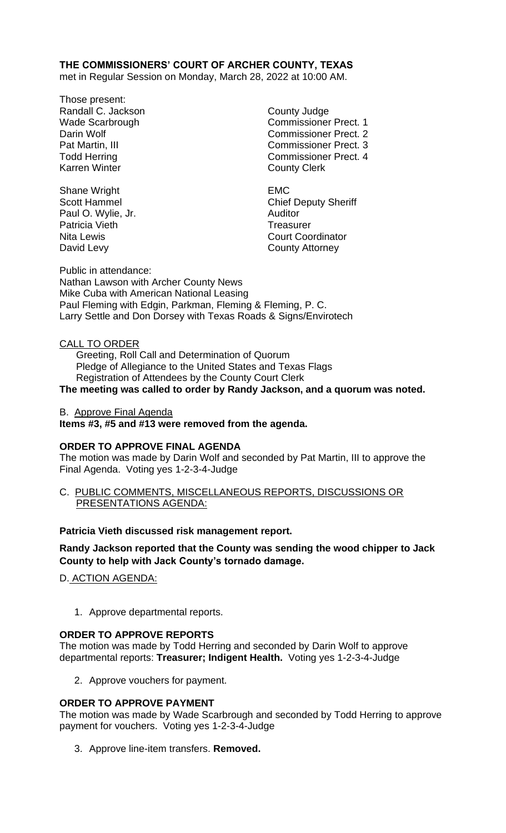## **THE COMMISSIONERS' COURT OF ARCHER COUNTY, TEXAS**

met in Regular Session on Monday, March 28, 2022 at 10:00 AM.

Those present: Randall C. Jackson County Judge Karren Winter **County Clerk** 

Shane Wright **EMC** Paul O. Wylie, Jr. **Auditor** Auditor Patricia Vieth **Treasurer** Treasurer David Levy **County Attorney** 

Wade Scarbrough Commissioner Prect. 1 Darin Wolf **Commissioner Prect.** 2 Pat Martin, III Commissioner Prect. 3 Todd Herring Todd Exercise Commissioner Prect. 4

Scott Hammel Chief Deputy Sheriff Nita Lewis **Nita Lewis** Court Coordinator

Public in attendance: Nathan Lawson with Archer County News Mike Cuba with American National Leasing Paul Fleming with Edgin, Parkman, Fleming & Fleming, P. C. Larry Settle and Don Dorsey with Texas Roads & Signs/Envirotech

### CALL TO ORDER

 Greeting, Roll Call and Determination of Quorum Pledge of Allegiance to the United States and Texas Flags Registration of Attendees by the County Court Clerk

# **The meeting was called to order by Randy Jackson, and a quorum was noted.**

B. Approve Final Agenda

#### **Items #3, #5 and #13 were removed from the agenda.**

#### **ORDER TO APPROVE FINAL AGENDA**

The motion was made by Darin Wolf and seconded by Pat Martin, III to approve the Final Agenda. Voting yes 1-2-3-4-Judge

C. PUBLIC COMMENTS, MISCELLANEOUS REPORTS, DISCUSSIONS OR PRESENTATIONS AGENDA:

#### **Patricia Vieth discussed risk management report.**

**Randy Jackson reported that the County was sending the wood chipper to Jack County to help with Jack County's tornado damage.**

D. ACTION AGENDA:

1. Approve departmental reports.

#### **ORDER TO APPROVE REPORTS**

The motion was made by Todd Herring and seconded by Darin Wolf to approve departmental reports: **Treasurer; Indigent Health.** Voting yes 1-2-3-4-Judge

2. Approve vouchers for payment.

### **ORDER TO APPROVE PAYMENT**

The motion was made by Wade Scarbrough and seconded by Todd Herring to approve payment for vouchers. Voting yes 1-2-3-4-Judge

3. Approve line-item transfers. **Removed.**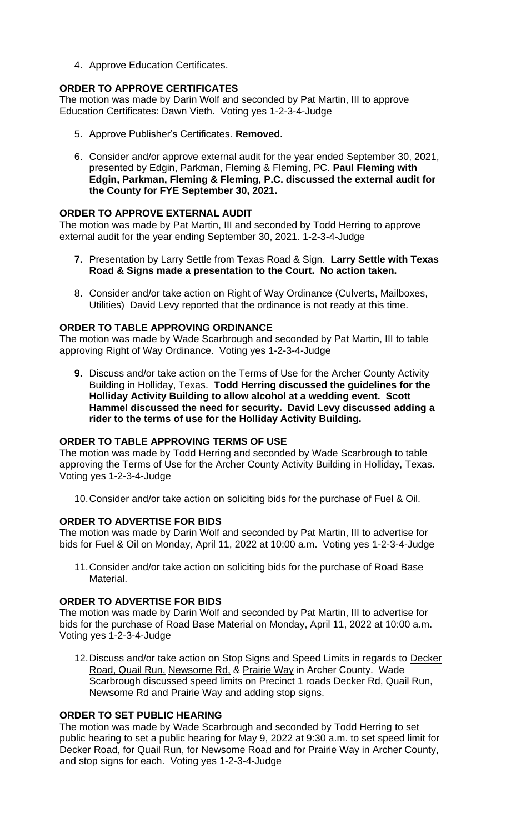4. Approve Education Certificates.

### **ORDER TO APPROVE CERTIFICATES**

The motion was made by Darin Wolf and seconded by Pat Martin, III to approve Education Certificates: Dawn Vieth. Voting yes 1-2-3-4-Judge

- 5. Approve Publisher's Certificates. **Removed.**
- 6. Consider and/or approve external audit for the year ended September 30, 2021, presented by Edgin, Parkman, Fleming & Fleming, PC. **Paul Fleming with Edgin, Parkman, Fleming & Fleming, P.C. discussed the external audit for the County for FYE September 30, 2021.**

### **ORDER TO APPROVE EXTERNAL AUDIT**

The motion was made by Pat Martin, III and seconded by Todd Herring to approve external audit for the year ending September 30, 2021. 1-2-3-4-Judge

- **7.** Presentation by Larry Settle from Texas Road & Sign. **Larry Settle with Texas Road & Signs made a presentation to the Court. No action taken.**
- 8. Consider and/or take action on Right of Way Ordinance (Culverts, Mailboxes, Utilities) David Levy reported that the ordinance is not ready at this time.

#### **ORDER TO TABLE APPROVING ORDINANCE**

The motion was made by Wade Scarbrough and seconded by Pat Martin, III to table approving Right of Way Ordinance. Voting yes 1-2-3-4-Judge

**9.** Discuss and/or take action on the Terms of Use for the Archer County Activity Building in Holliday, Texas. **Todd Herring discussed the guidelines for the Holliday Activity Building to allow alcohol at a wedding event. Scott Hammel discussed the need for security. David Levy discussed adding a rider to the terms of use for the Holliday Activity Building.**

### **ORDER TO TABLE APPROVING TERMS OF USE**

The motion was made by Todd Herring and seconded by Wade Scarbrough to table approving the Terms of Use for the Archer County Activity Building in Holliday, Texas. Voting yes 1-2-3-4-Judge

10.Consider and/or take action on soliciting bids for the purchase of Fuel & Oil.

### **ORDER TO ADVERTISE FOR BIDS**

The motion was made by Darin Wolf and seconded by Pat Martin, III to advertise for bids for Fuel & Oil on Monday, April 11, 2022 at 10:00 a.m. Voting yes 1-2-3-4-Judge

11.Consider and/or take action on soliciting bids for the purchase of Road Base Material.

#### **ORDER TO ADVERTISE FOR BIDS**

The motion was made by Darin Wolf and seconded by Pat Martin, III to advertise for bids for the purchase of Road Base Material on Monday, April 11, 2022 at 10:00 a.m. Voting yes 1-2-3-4-Judge

12.Discuss and/or take action on Stop Signs and Speed Limits in regards to Decker Road, Quail Run, Newsome Rd, & Prairie Way in Archer County. Wade Scarbrough discussed speed limits on Precinct 1 roads Decker Rd, Quail Run, Newsome Rd and Prairie Way and adding stop signs.

### **ORDER TO SET PUBLIC HEARING**

The motion was made by Wade Scarbrough and seconded by Todd Herring to set public hearing to set a public hearing for May 9, 2022 at 9:30 a.m. to set speed limit for Decker Road, for Quail Run, for Newsome Road and for Prairie Way in Archer County, and stop signs for each. Voting yes 1-2-3-4-Judge